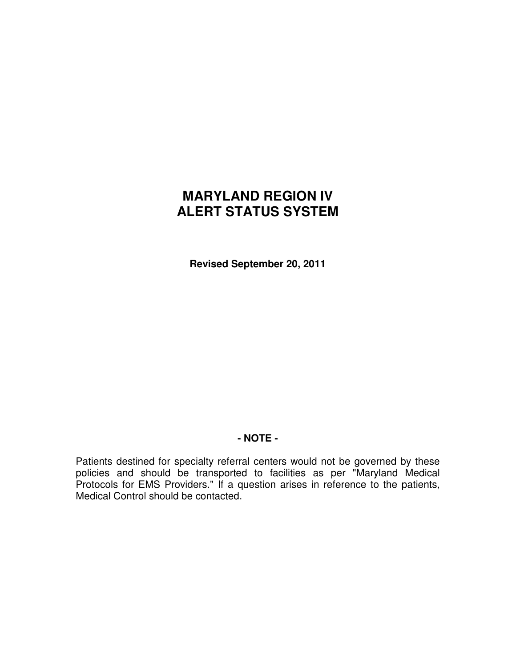# **MARYLAND REGION IV ALERT STATUS SYSTEM**

**Revised September 20, 2011** 

## **- NOTE -**

Patients destined for specialty referral centers would not be governed by these policies and should be transported to facilities as per "Maryland Medical Protocols for EMS Providers." If a question arises in reference to the patients, Medical Control should be contacted.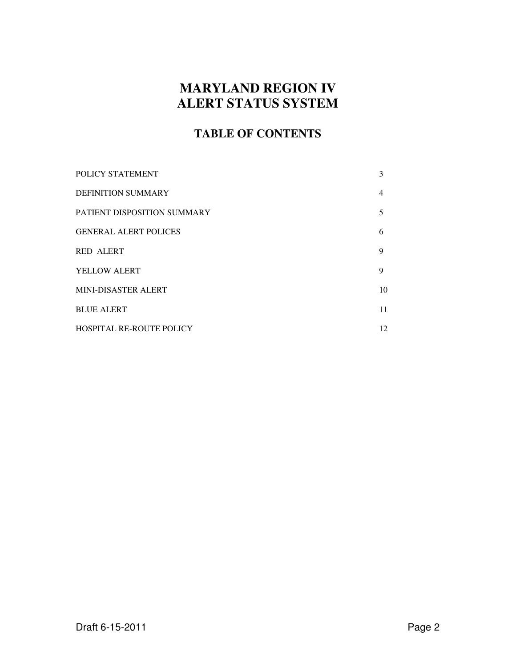## **MARYLAND REGION IV ALERT STATUS SYSTEM**

## **TABLE OF CONTENTS**

| POLICY STATEMENT                | 3              |
|---------------------------------|----------------|
| <b>DEFINITION SUMMARY</b>       | $\overline{4}$ |
| PATIENT DISPOSITION SUMMARY     | 5              |
| <b>GENERAL ALERT POLICES</b>    | 6              |
| <b>RED ALERT</b>                | 9              |
| YELLOW ALERT                    | 9              |
| <b>MINI-DISASTER ALERT</b>      | 10             |
| <b>BLUE ALERT</b>               | 11             |
| <b>HOSPITAL RE-ROUTE POLICY</b> | 12             |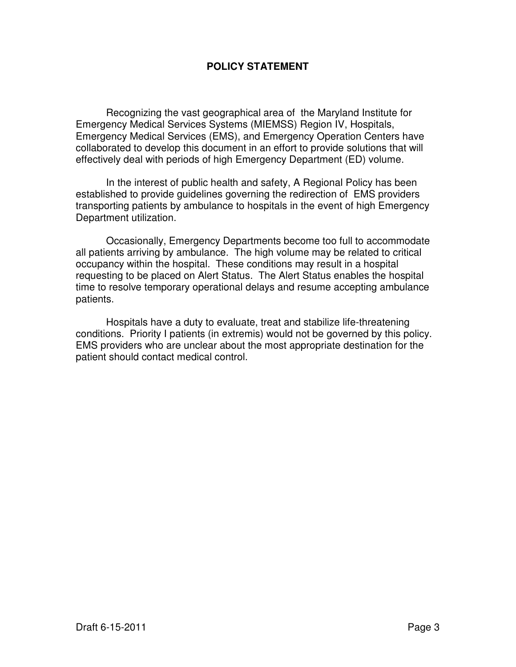## **POLICY STATEMENT**

 Recognizing the vast geographical area of the Maryland Institute for Emergency Medical Services Systems (MIEMSS) Region IV, Hospitals, Emergency Medical Services (EMS), and Emergency Operation Centers have collaborated to develop this document in an effort to provide solutions that will effectively deal with periods of high Emergency Department (ED) volume.

 In the interest of public health and safety, A Regional Policy has been established to provide guidelines governing the redirection of EMS providers transporting patients by ambulance to hospitals in the event of high Emergency Department utilization.

 Occasionally, Emergency Departments become too full to accommodate all patients arriving by ambulance. The high volume may be related to critical occupancy within the hospital. These conditions may result in a hospital requesting to be placed on Alert Status. The Alert Status enables the hospital time to resolve temporary operational delays and resume accepting ambulance patients.

 Hospitals have a duty to evaluate, treat and stabilize life-threatening conditions. Priority I patients (in extremis) would not be governed by this policy. EMS providers who are unclear about the most appropriate destination for the patient should contact medical control.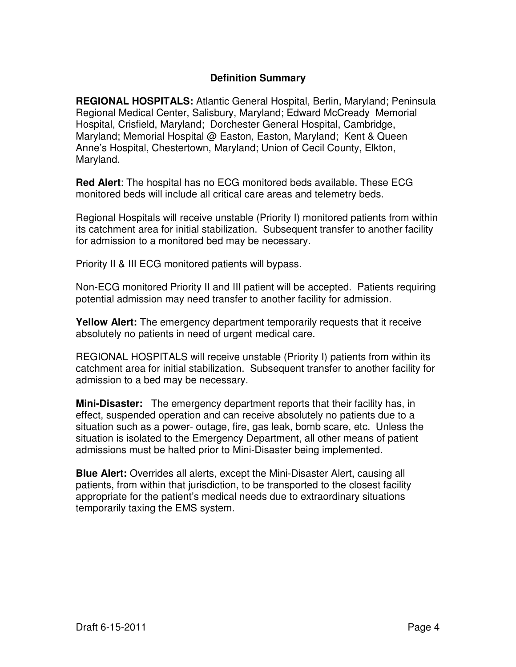## **Definition Summary**

**REGIONAL HOSPITALS:** Atlantic General Hospital, Berlin, Maryland; Peninsula Regional Medical Center, Salisbury, Maryland; Edward McCready Memorial Hospital, Crisfield, Maryland; Dorchester General Hospital, Cambridge, Maryland; Memorial Hospital @ Easton, Easton, Maryland; Kent & Queen Anne's Hospital, Chestertown, Maryland; Union of Cecil County, Elkton, Maryland.

**Red Alert**: The hospital has no ECG monitored beds available. These ECG monitored beds will include all critical care areas and telemetry beds.

Regional Hospitals will receive unstable (Priority I) monitored patients from within its catchment area for initial stabilization. Subsequent transfer to another facility for admission to a monitored bed may be necessary.

Priority II & III ECG monitored patients will bypass.

Non-ECG monitored Priority II and III patient will be accepted. Patients requiring potential admission may need transfer to another facility for admission.

**Yellow Alert:** The emergency department temporarily requests that it receive absolutely no patients in need of urgent medical care.

REGIONAL HOSPITALS will receive unstable (Priority I) patients from within its catchment area for initial stabilization. Subsequent transfer to another facility for admission to a bed may be necessary.

**Mini-Disaster:** The emergency department reports that their facility has, in effect, suspended operation and can receive absolutely no patients due to a situation such as a power- outage, fire, gas leak, bomb scare, etc. Unless the situation is isolated to the Emergency Department, all other means of patient admissions must be halted prior to Mini-Disaster being implemented.

**Blue Alert:** Overrides all alerts, except the Mini-Disaster Alert, causing all patients, from within that jurisdiction, to be transported to the closest facility appropriate for the patient's medical needs due to extraordinary situations temporarily taxing the EMS system.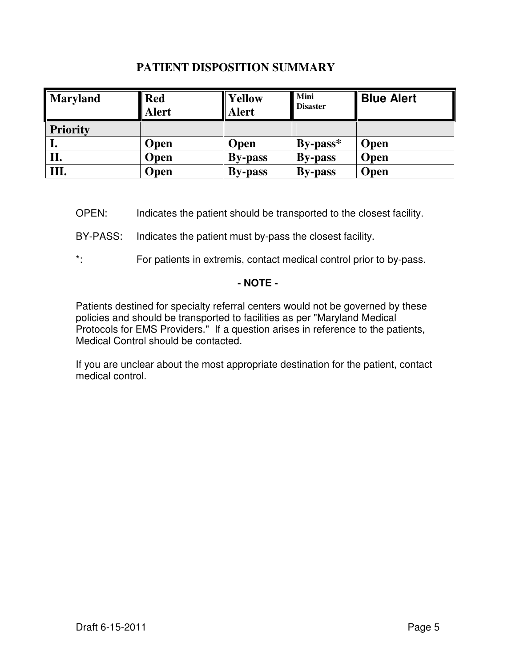## **PATIENT DISPOSITION SUMMARY**

| <b>Maryland</b> | <b>Red</b><br><b>Alert</b> | Yellow<br><b>Alert</b> | <b>Mini</b><br><b>Disaster</b> | <b>Blue Alert</b> |
|-----------------|----------------------------|------------------------|--------------------------------|-------------------|
| <b>Priority</b> |                            |                        |                                |                   |
| ı.              | Open                       | <b>Open</b>            | $By-pass*$                     | <b>Open</b>       |
| П.              | Open                       | <b>By-pass</b>         | <b>By-pass</b>                 | <b>Open</b>       |
| Ш.              | Open                       | <b>By-pass</b>         | <b>By-pass</b>                 | <b>Open</b>       |

OPEN: Indicates the patient should be transported to the closest facility.

BY-PASS: Indicates the patient must by-pass the closest facility.

\*: For patients in extremis, contact medical control prior to by-pass.

## **- NOTE -**

Patients destined for specialty referral centers would not be governed by these policies and should be transported to facilities as per "Maryland Medical Protocols for EMS Providers." If a question arises in reference to the patients, Medical Control should be contacted.

If you are unclear about the most appropriate destination for the patient, contact medical control.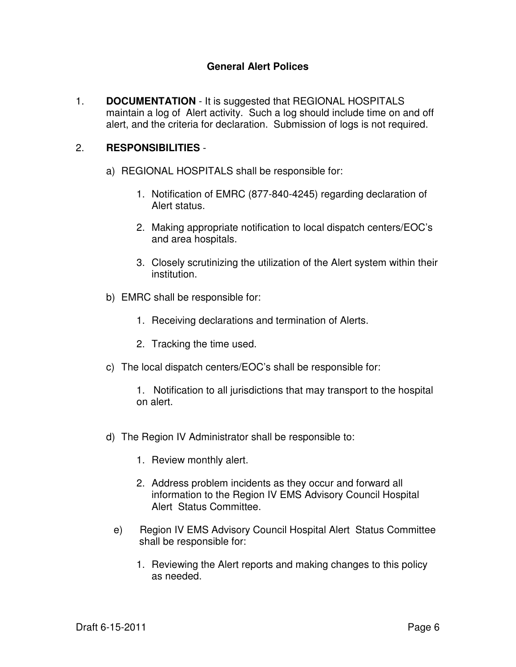## **General Alert Polices**

1. **DOCUMENTATION** - It is suggested that REGIONAL HOSPITALS maintain a log of Alert activity. Such a log should include time on and off alert, and the criteria for declaration. Submission of logs is not required.

#### 2. **RESPONSIBILITIES** -

- a) REGIONAL HOSPITALS shall be responsible for:
	- 1. Notification of EMRC (877-840-4245) regarding declaration of Alert status.
	- 2. Making appropriate notification to local dispatch centers/EOC's and area hospitals.
	- 3. Closely scrutinizing the utilization of the Alert system within their institution.
- b) EMRC shall be responsible for:
	- 1. Receiving declarations and termination of Alerts.
	- 2. Tracking the time used.
- c) The local dispatch centers/EOC's shall be responsible for:
	- 1. Notification to all jurisdictions that may transport to the hospital on alert.
- d) The Region IV Administrator shall be responsible to:
	- 1. Review monthly alert.
	- 2. Address problem incidents as they occur and forward all information to the Region IV EMS Advisory Council Hospital Alert Status Committee.
	- e) Region IV EMS Advisory Council Hospital Alert Status Committee shall be responsible for:
		- 1. Reviewing the Alert reports and making changes to this policy as needed.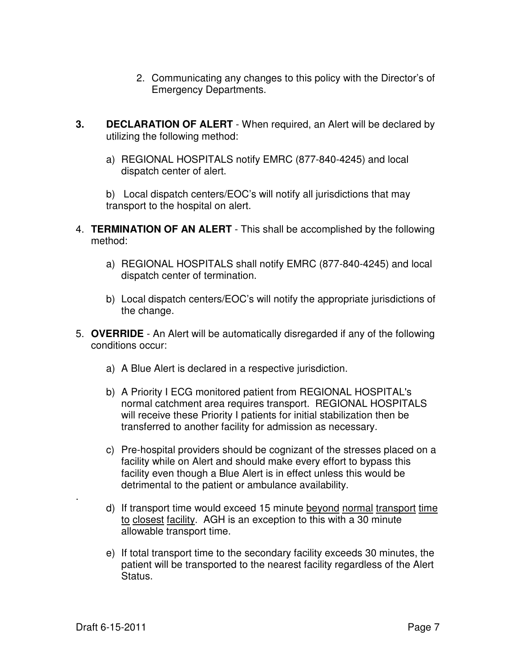- 2. Communicating any changes to this policy with the Director's of Emergency Departments.
- **3. DECLARATION OF ALERT** When required, an Alert will be declared by utilizing the following method:
	- a) REGIONAL HOSPITALS notify EMRC (877-840-4245) and local dispatch center of alert.

b) Local dispatch centers/EOC's will notify all jurisdictions that may transport to the hospital on alert.

- 4. **TERMINATION OF AN ALERT** This shall be accomplished by the following method:
	- a) REGIONAL HOSPITALS shall notify EMRC (877-840-4245) and local dispatch center of termination.
	- b) Local dispatch centers/EOC's will notify the appropriate jurisdictions of the change.
- 5. **OVERRIDE** An Alert will be automatically disregarded if any of the following conditions occur:
	- a) A Blue Alert is declared in a respective jurisdiction.
	- b) A Priority I ECG monitored patient from REGIONAL HOSPITAL's normal catchment area requires transport. REGIONAL HOSPITALS will receive these Priority I patients for initial stabilization then be transferred to another facility for admission as necessary.
	- c) Pre-hospital providers should be cognizant of the stresses placed on a facility while on Alert and should make every effort to bypass this facility even though a Blue Alert is in effect unless this would be detrimental to the patient or ambulance availability.
	- d) If transport time would exceed 15 minute beyond normal transport time to closest facility. AGH is an exception to this with a 30 minute allowable transport time.
	- e) If total transport time to the secondary facility exceeds 30 minutes, the patient will be transported to the nearest facility regardless of the Alert Status.

.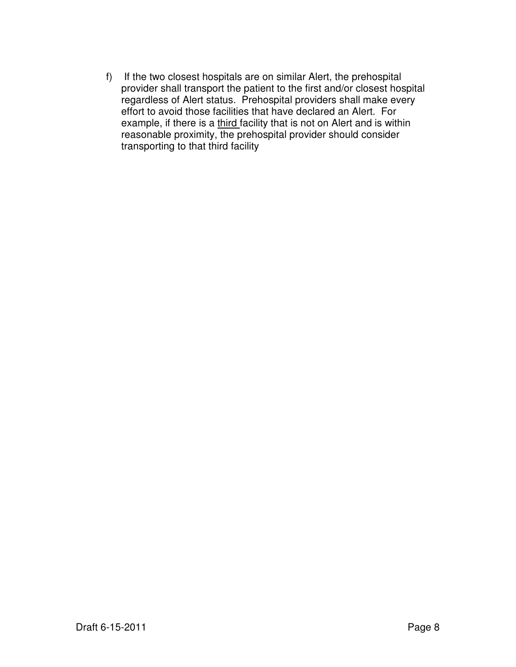f) If the two closest hospitals are on similar Alert, the prehospital provider shall transport the patient to the first and/or closest hospital regardless of Alert status. Prehospital providers shall make every effort to avoid those facilities that have declared an Alert. For example, if there is a third facility that is not on Alert and is within reasonable proximity, the prehospital provider should consider transporting to that third facility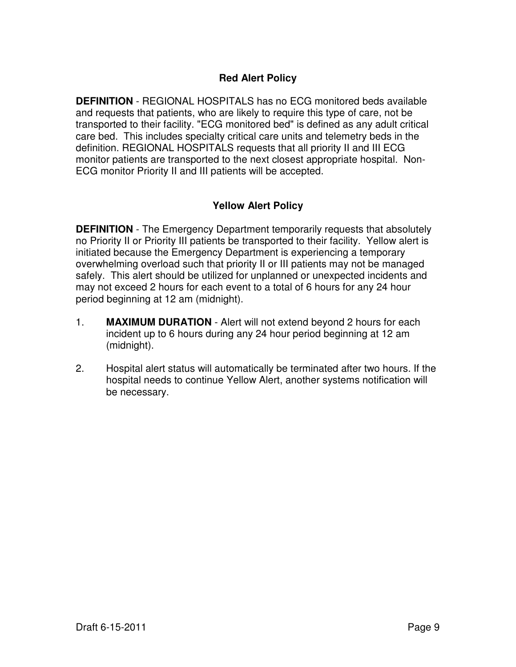## **Red Alert Policy**

**DEFINITION** - REGIONAL HOSPITALS has no ECG monitored beds available and requests that patients, who are likely to require this type of care, not be transported to their facility. "ECG monitored bed" is defined as any adult critical care bed. This includes specialty critical care units and telemetry beds in the definition. REGIONAL HOSPITALS requests that all priority II and III ECG monitor patients are transported to the next closest appropriate hospital. Non-ECG monitor Priority II and III patients will be accepted.

## **Yellow Alert Policy**

**DEFINITION** - The Emergency Department temporarily requests that absolutely no Priority II or Priority III patients be transported to their facility. Yellow alert is initiated because the Emergency Department is experiencing a temporary overwhelming overload such that priority II or III patients may not be managed safely. This alert should be utilized for unplanned or unexpected incidents and may not exceed 2 hours for each event to a total of 6 hours for any 24 hour period beginning at 12 am (midnight).

- 1. **MAXIMUM DURATION**  Alert will not extend beyond 2 hours for each incident up to 6 hours during any 24 hour period beginning at 12 am (midnight).
- 2. Hospital alert status will automatically be terminated after two hours. If the hospital needs to continue Yellow Alert, another systems notification will be necessary.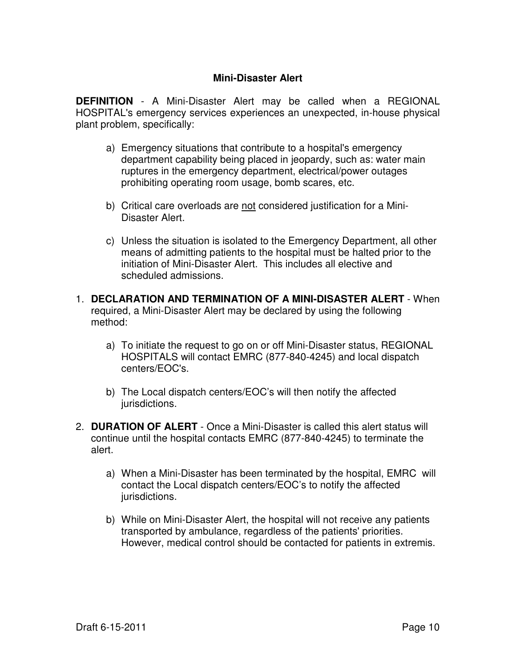## **Mini-Disaster Alert**

**DEFINITION** - A Mini-Disaster Alert may be called when a REGIONAL HOSPITAL's emergency services experiences an unexpected, in-house physical plant problem, specifically:

- a) Emergency situations that contribute to a hospital's emergency department capability being placed in jeopardy, such as: water main ruptures in the emergency department, electrical/power outages prohibiting operating room usage, bomb scares, etc.
- b) Critical care overloads are not considered justification for a Mini-Disaster Alert.
- c) Unless the situation is isolated to the Emergency Department, all other means of admitting patients to the hospital must be halted prior to the initiation of Mini-Disaster Alert. This includes all elective and scheduled admissions.
- 1. **DECLARATION AND TERMINATION OF A MINI-DISASTER ALERT** When required, a Mini-Disaster Alert may be declared by using the following method:
	- a) To initiate the request to go on or off Mini-Disaster status, REGIONAL HOSPITALS will contact EMRC (877-840-4245) and local dispatch centers/EOC's.
	- b) The Local dispatch centers/EOC's will then notify the affected jurisdictions.
- 2. **DURATION OF ALERT** Once a Mini-Disaster is called this alert status will continue until the hospital contacts EMRC (877-840-4245) to terminate the alert.
	- a) When a Mini-Disaster has been terminated by the hospital, EMRC will contact the Local dispatch centers/EOC's to notify the affected jurisdictions.
	- b) While on Mini-Disaster Alert, the hospital will not receive any patients transported by ambulance, regardless of the patients' priorities. However, medical control should be contacted for patients in extremis.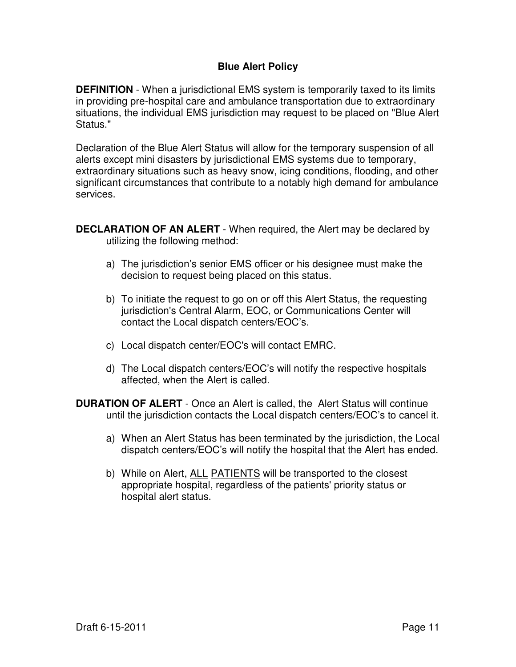## **Blue Alert Policy**

**DEFINITION** - When a jurisdictional EMS system is temporarily taxed to its limits in providing pre-hospital care and ambulance transportation due to extraordinary situations, the individual EMS jurisdiction may request to be placed on "Blue Alert Status."

Declaration of the Blue Alert Status will allow for the temporary suspension of all alerts except mini disasters by jurisdictional EMS systems due to temporary, extraordinary situations such as heavy snow, icing conditions, flooding, and other significant circumstances that contribute to a notably high demand for ambulance services.

**DECLARATION OF AN ALERT** - When required, the Alert may be declared by utilizing the following method:

- a) The jurisdiction's senior EMS officer or his designee must make the decision to request being placed on this status.
- b) To initiate the request to go on or off this Alert Status, the requesting jurisdiction's Central Alarm, EOC, or Communications Center will contact the Local dispatch centers/EOC's.
- c) Local dispatch center/EOC's will contact EMRC.
- d) The Local dispatch centers/EOC's will notify the respective hospitals affected, when the Alert is called.
- **DURATION OF ALERT** Once an Alert is called, the Alert Status will continue until the jurisdiction contacts the Local dispatch centers/EOC's to cancel it.
	- a) When an Alert Status has been terminated by the jurisdiction, the Local dispatch centers/EOC's will notify the hospital that the Alert has ended.
	- b) While on Alert, ALL PATIENTS will be transported to the closest appropriate hospital, regardless of the patients' priority status or hospital alert status.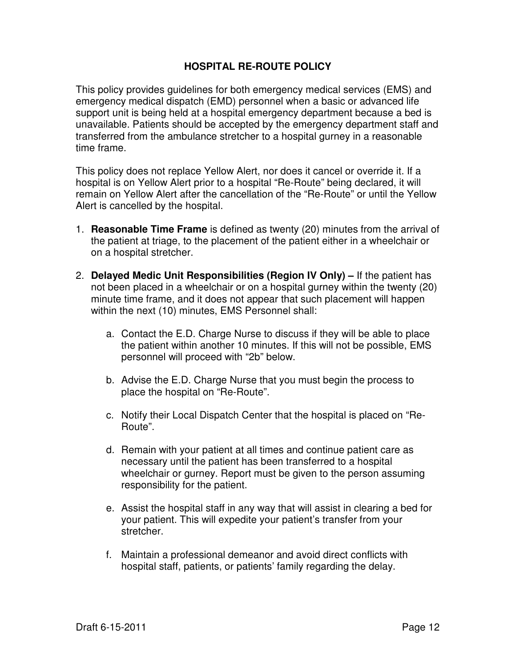## **HOSPITAL RE-ROUTE POLICY**

This policy provides guidelines for both emergency medical services (EMS) and emergency medical dispatch (EMD) personnel when a basic or advanced life support unit is being held at a hospital emergency department because a bed is unavailable. Patients should be accepted by the emergency department staff and transferred from the ambulance stretcher to a hospital gurney in a reasonable time frame.

This policy does not replace Yellow Alert, nor does it cancel or override it. If a hospital is on Yellow Alert prior to a hospital "Re-Route" being declared, it will remain on Yellow Alert after the cancellation of the "Re-Route" or until the Yellow Alert is cancelled by the hospital.

- 1. **Reasonable Time Frame** is defined as twenty (20) minutes from the arrival of the patient at triage, to the placement of the patient either in a wheelchair or on a hospital stretcher.
- 2. **Delayed Medic Unit Responsibilities (Region IV Only) –** If the patient has not been placed in a wheelchair or on a hospital gurney within the twenty (20) minute time frame, and it does not appear that such placement will happen within the next (10) minutes, EMS Personnel shall:
	- a. Contact the E.D. Charge Nurse to discuss if they will be able to place the patient within another 10 minutes. If this will not be possible, EMS personnel will proceed with "2b" below.
	- b. Advise the E.D. Charge Nurse that you must begin the process to place the hospital on "Re-Route".
	- c. Notify their Local Dispatch Center that the hospital is placed on "Re-Route".
	- d. Remain with your patient at all times and continue patient care as necessary until the patient has been transferred to a hospital wheelchair or gurney. Report must be given to the person assuming responsibility for the patient.
	- e. Assist the hospital staff in any way that will assist in clearing a bed for your patient. This will expedite your patient's transfer from your stretcher.
	- f. Maintain a professional demeanor and avoid direct conflicts with hospital staff, patients, or patients' family regarding the delay.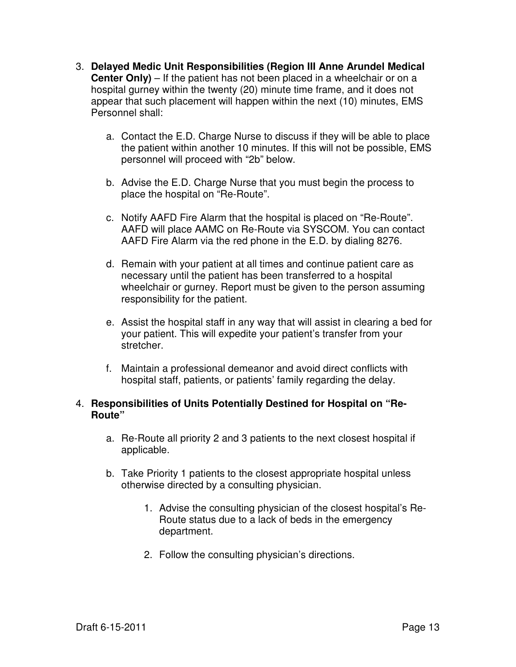- 3. **Delayed Medic Unit Responsibilities (Region III Anne Arundel Medical Center Only)** – If the patient has not been placed in a wheelchair or on a hospital gurney within the twenty (20) minute time frame, and it does not appear that such placement will happen within the next (10) minutes, EMS Personnel shall:
	- a. Contact the E.D. Charge Nurse to discuss if they will be able to place the patient within another 10 minutes. If this will not be possible, EMS personnel will proceed with "2b" below.
	- b. Advise the E.D. Charge Nurse that you must begin the process to place the hospital on "Re-Route".
	- c. Notify AAFD Fire Alarm that the hospital is placed on "Re-Route". AAFD will place AAMC on Re-Route via SYSCOM. You can contact AAFD Fire Alarm via the red phone in the E.D. by dialing 8276.
	- d. Remain with your patient at all times and continue patient care as necessary until the patient has been transferred to a hospital wheelchair or gurney. Report must be given to the person assuming responsibility for the patient.
	- e. Assist the hospital staff in any way that will assist in clearing a bed for your patient. This will expedite your patient's transfer from your stretcher.
	- f. Maintain a professional demeanor and avoid direct conflicts with hospital staff, patients, or patients' family regarding the delay.

## 4. **Responsibilities of Units Potentially Destined for Hospital on "Re-Route"**

- a. Re-Route all priority 2 and 3 patients to the next closest hospital if applicable.
- b. Take Priority 1 patients to the closest appropriate hospital unless otherwise directed by a consulting physician.
	- 1. Advise the consulting physician of the closest hospital's Re-Route status due to a lack of beds in the emergency department.
	- 2. Follow the consulting physician's directions.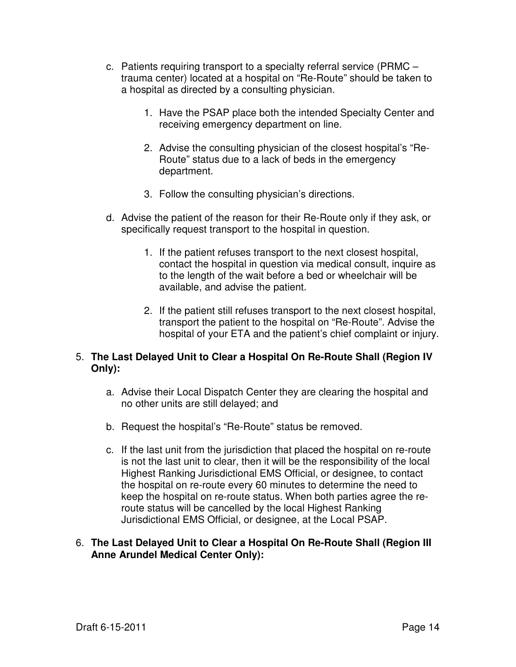- c. Patients requiring transport to a specialty referral service (PRMC trauma center) located at a hospital on "Re-Route" should be taken to a hospital as directed by a consulting physician.
	- 1. Have the PSAP place both the intended Specialty Center and receiving emergency department on line.
	- 2. Advise the consulting physician of the closest hospital's "Re-Route" status due to a lack of beds in the emergency department.
	- 3. Follow the consulting physician's directions.
- d. Advise the patient of the reason for their Re-Route only if they ask, or specifically request transport to the hospital in question.
	- 1. If the patient refuses transport to the next closest hospital, contact the hospital in question via medical consult, inquire as to the length of the wait before a bed or wheelchair will be available, and advise the patient.
	- 2. If the patient still refuses transport to the next closest hospital, transport the patient to the hospital on "Re-Route". Advise the hospital of your ETA and the patient's chief complaint or injury.

## 5. **The Last Delayed Unit to Clear a Hospital On Re-Route Shall (Region IV Only):**

- a. Advise their Local Dispatch Center they are clearing the hospital and no other units are still delayed; and
- b. Request the hospital's "Re-Route" status be removed.
- c. If the last unit from the jurisdiction that placed the hospital on re-route is not the last unit to clear, then it will be the responsibility of the local Highest Ranking Jurisdictional EMS Official, or designee, to contact the hospital on re-route every 60 minutes to determine the need to keep the hospital on re-route status. When both parties agree the reroute status will be cancelled by the local Highest Ranking Jurisdictional EMS Official, or designee, at the Local PSAP.

#### 6. **The Last Delayed Unit to Clear a Hospital On Re-Route Shall (Region III Anne Arundel Medical Center Only):**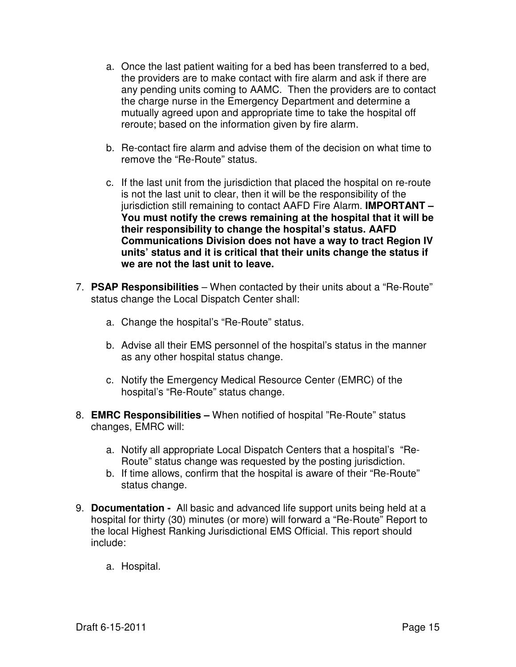- a. Once the last patient waiting for a bed has been transferred to a bed, the providers are to make contact with fire alarm and ask if there are any pending units coming to AAMC. Then the providers are to contact the charge nurse in the Emergency Department and determine a mutually agreed upon and appropriate time to take the hospital off reroute; based on the information given by fire alarm.
- b. Re-contact fire alarm and advise them of the decision on what time to remove the "Re-Route" status.
- c. If the last unit from the jurisdiction that placed the hospital on re-route is not the last unit to clear, then it will be the responsibility of the jurisdiction still remaining to contact AAFD Fire Alarm. **IMPORTANT – You must notify the crews remaining at the hospital that it will be their responsibility to change the hospital's status. AAFD Communications Division does not have a way to tract Region IV units' status and it is critical that their units change the status if we are not the last unit to leave.**
- 7. **PSAP Responsibilities**  When contacted by their units about a "Re-Route" status change the Local Dispatch Center shall:
	- a. Change the hospital's "Re-Route" status.
	- b. Advise all their EMS personnel of the hospital's status in the manner as any other hospital status change.
	- c. Notify the Emergency Medical Resource Center (EMRC) of the hospital's "Re-Route" status change.
- 8. **EMRC Responsibilities** When notified of hospital "Re-Route" status changes, EMRC will:
	- a. Notify all appropriate Local Dispatch Centers that a hospital's "Re-Route" status change was requested by the posting jurisdiction.
	- b. If time allows, confirm that the hospital is aware of their "Re-Route" status change.
- 9. **Documentation** All basic and advanced life support units being held at a hospital for thirty (30) minutes (or more) will forward a "Re-Route" Report to the local Highest Ranking Jurisdictional EMS Official. This report should include:
	- a. Hospital.